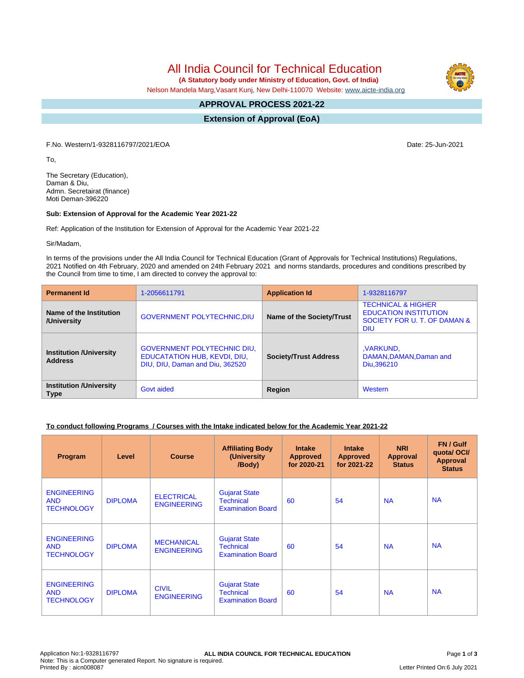All India Council for Technical Education

 **(A Statutory body under Ministry of Education, Govt. of India)**

Nelson Mandela Marg,Vasant Kunj, New Delhi-110070 Website: [www.aicte-india.org](http://www.aicte-india.org)

#### **APPROVAL PROCESS 2021-22 -**

**Extension of Approval (EoA)**

F.No. Western/1-9328116797/2021/EOA Date: 25-Jun-2021

To,

The Secretary (Education), Daman & Diu, Admn. Secretairat (finance) Moti Deman-396220

#### **Sub: Extension of Approval for the Academic Year 2021-22**

Ref: Application of the Institution for Extension of Approval for the Academic Year 2021-22

Sir/Madam,

In terms of the provisions under the All India Council for Technical Education (Grant of Approvals for Technical Institutions) Regulations, 2021 Notified on 4th February, 2020 and amended on 24th February 2021 and norms standards, procedures and conditions prescribed by the Council from time to time, I am directed to convey the approval to:

| <b>Permanent Id</b>                              | 1-2056611791                                                                                          | <b>Application Id</b>        | 1-9328116797                                                                                                |  |
|--------------------------------------------------|-------------------------------------------------------------------------------------------------------|------------------------------|-------------------------------------------------------------------------------------------------------------|--|
| Name of the Institution<br>/University           | <b>GOVERNMENT POLYTECHNIC, DIU</b>                                                                    | Name of the Society/Trust    | <b>TECHNICAL &amp; HIGHER</b><br><b>EDUCATION INSTITUTION</b><br>SOCIETY FOR U. T. OF DAMAN &<br><b>DIU</b> |  |
| <b>Institution /University</b><br><b>Address</b> | <b>GOVERNMENT POLYTECHNIC DIU,</b><br>EDUCATATION HUB, KEVDI, DIU,<br>DIU, DIU, Daman and Diu, 362520 | <b>Society/Trust Address</b> | ,VARKUND,<br>DAMAN, DAMAN, Daman and<br>Diu.396210                                                          |  |
| <b>Institution /University</b><br><b>Type</b>    | Govt aided                                                                                            | Region                       | Western                                                                                                     |  |

## **To conduct following Programs / Courses with the Intake indicated below for the Academic Year 2021-22**

| Program                                               | Level          | <b>Course</b>                           | <b>Affiliating Body</b><br>(University<br>/Body)                     | <b>Intake</b><br><b>Approved</b><br>for 2020-21 | <b>Intake</b><br><b>Approved</b><br>for 2021-22 | <b>NRI</b><br>Approval<br><b>Status</b> | FN / Gulf<br>quotal OCI/<br><b>Approval</b><br><b>Status</b> |
|-------------------------------------------------------|----------------|-----------------------------------------|----------------------------------------------------------------------|-------------------------------------------------|-------------------------------------------------|-----------------------------------------|--------------------------------------------------------------|
| <b>ENGINEERING</b><br><b>AND</b><br><b>TECHNOLOGY</b> | <b>DIPLOMA</b> | <b>ELECTRICAL</b><br><b>ENGINEERING</b> | <b>Gujarat State</b><br><b>Technical</b><br><b>Examination Board</b> | 60                                              | 54                                              | <b>NA</b>                               | <b>NA</b>                                                    |
| <b>ENGINEERING</b><br><b>AND</b><br><b>TECHNOLOGY</b> | <b>DIPLOMA</b> | <b>MECHANICAL</b><br><b>ENGINEERING</b> | <b>Gujarat State</b><br><b>Technical</b><br><b>Examination Board</b> | 60                                              | 54                                              | <b>NA</b>                               | <b>NA</b>                                                    |
| <b>ENGINEERING</b><br><b>AND</b><br><b>TECHNOLOGY</b> | <b>DIPLOMA</b> | <b>CIVIL</b><br><b>ENGINEERING</b>      | <b>Gujarat State</b><br><b>Technical</b><br><b>Examination Board</b> | 60                                              | 54                                              | <b>NA</b>                               | <b>NA</b>                                                    |

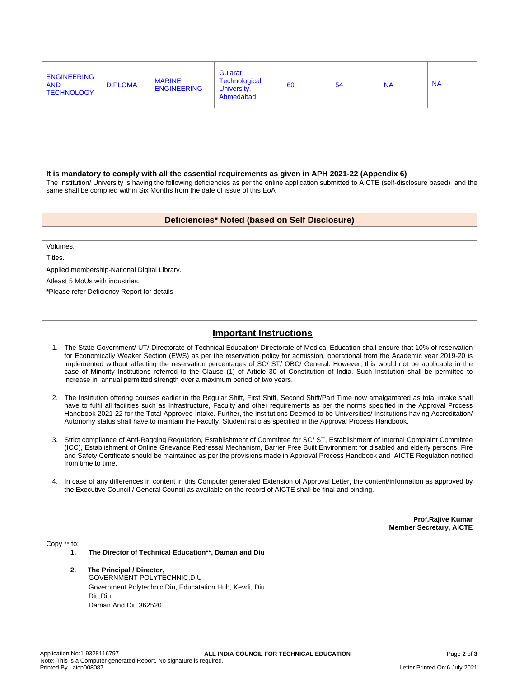| <b>ENGINEERING</b><br><b>AND</b><br><b>TECHNOLOGY</b> | <b>DIPLOMA</b> | <b>MARINE</b><br><b>ENGINEERING</b> | Gujarat<br>Technological<br>University,<br>Ahmedabad | 60 | 54 | <b>NA</b> | <b>NA</b> |
|-------------------------------------------------------|----------------|-------------------------------------|------------------------------------------------------|----|----|-----------|-----------|
|-------------------------------------------------------|----------------|-------------------------------------|------------------------------------------------------|----|----|-----------|-----------|

#### **It is mandatory to comply with all the essential requirements as given in APH 2021-22 (Appendix 6)**

The Institution/ University is having the following deficiencies as per the online application submitted to AICTE (self-disclosure based) and the same shall be complied within Six Months from the date of issue of this EoA

### **Deficiencies\* Noted (based on Self Disclosure)**

Volumes.

Titles.

Applied membership-National Digital Library.

Atleast 5 MoUs with industries.

**\***Please refer Deficiency Report for details

# **Important Instructions**

- 1. The State Government/ UT/ Directorate of Technical Education/ Directorate of Medical Education shall ensure that 10% of reservation for Economically Weaker Section (EWS) as per the reservation policy for admission, operational from the Academic year 2019-20 is implemented without affecting the reservation percentages of SC/ ST/ OBC/ General. However, this would not be applicable in the case of Minority Institutions referred to the Clause (1) of Article 30 of Constitution of India. Such Institution shall be permitted to increase in annual permitted strength over a maximum period of two years.
- 2. The Institution offering courses earlier in the Regular Shift, First Shift, Second Shift/Part Time now amalgamated as total intake shall have to fulfil all facilities such as Infrastructure, Faculty and other requirements as per the norms specified in the Approval Process Handbook 2021-22 for the Total Approved Intake. Further, the Institutions Deemed to be Universities/ Institutions having Accreditation/ Autonomy status shall have to maintain the Faculty: Student ratio as specified in the Approval Process Handbook.
- 3. Strict compliance of Anti-Ragging Regulation, Establishment of Committee for SC/ ST, Establishment of Internal Complaint Committee (ICC), Establishment of Online Grievance Redressal Mechanism, Barrier Free Built Environment for disabled and elderly persons, Fire and Safety Certificate should be maintained as per the provisions made in Approval Process Handbook and AICTE Regulation notified from time to time.
- 4. In case of any differences in content in this Computer generated Extension of Approval Letter, the content/information as approved by the Executive Council / General Council as available on the record of AICTE shall be final and binding.

**Prof.Rajive Kumar Member Secretary, AICTE**

Copy \*\* to:

- **1. The Director of Technical Education\*\*, Daman and Diu**
- **2. The Principal / Director,**

GOVERNMENT POLYTECHNIC,DIU Government Polytechnic Diu, Educatation Hub, Kevdi, Diu, Diu,Diu, Daman And Diu,362520